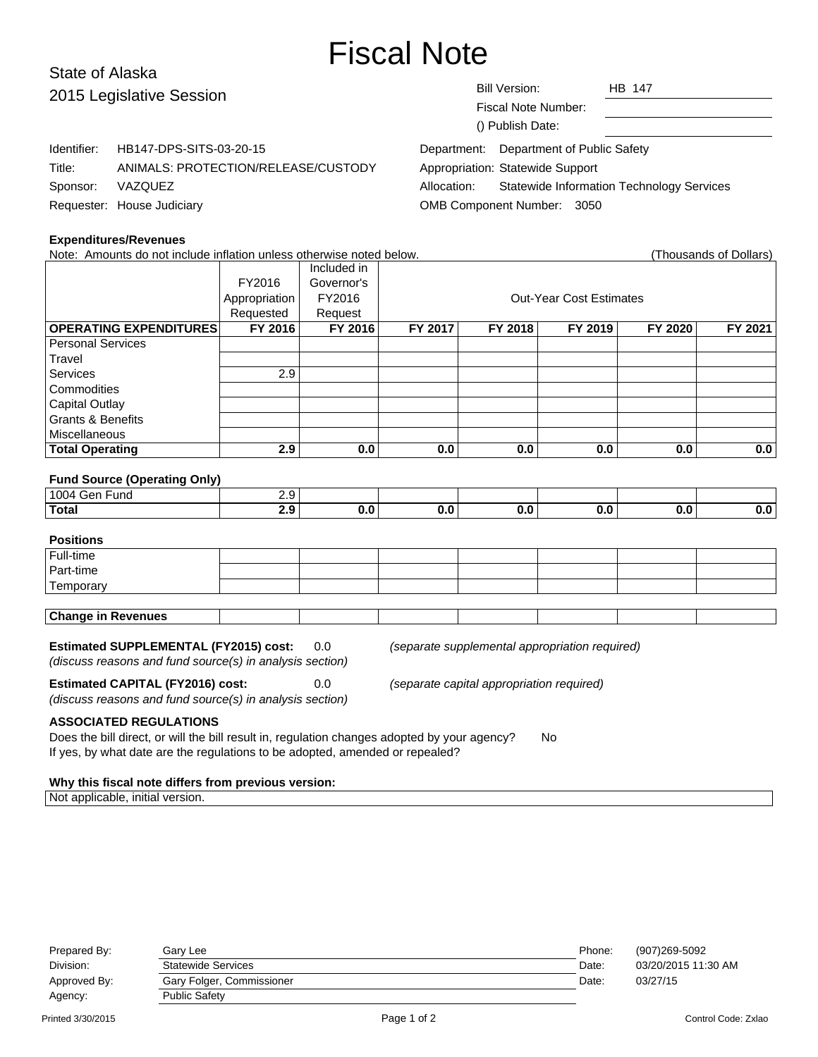# Fiscal Note

## State of Alaska 2015 L

|             | 2015 Legislative Session            | <b>Bill Version:</b><br><b>HB 147</b>                           |
|-------------|-------------------------------------|-----------------------------------------------------------------|
|             |                                     | Fiscal Note Number:                                             |
|             |                                     | () Publish Date:                                                |
| Identifier: | HB147-DPS-SITS-03-20-15             | Department: Department of Public Safety                         |
| Title:      | ANIMALS: PROTECTION/RELEASE/CUSTODY | Appropriation: Statewide Support                                |
| Sponsor:    | VAZQUEZ                             | <b>Statewide Information Technology Services</b><br>Allocation: |
|             | Requester: House Judiciary          | OMB Component Number: 3050                                      |

#### **Expenditures/Revenues**

| Note: Amounts do not include inflation unless otherwise noted below.                                  |                  |             |         |         |                                |         | (Thousands of Dollars) |  |  |
|-------------------------------------------------------------------------------------------------------|------------------|-------------|---------|---------|--------------------------------|---------|------------------------|--|--|
|                                                                                                       |                  | Included in |         |         |                                |         |                        |  |  |
|                                                                                                       | FY2016           | Governor's  |         |         |                                |         |                        |  |  |
|                                                                                                       | Appropriation    | FY2016      |         |         | <b>Out-Year Cost Estimates</b> |         |                        |  |  |
|                                                                                                       | Requested        | Request     |         |         |                                |         |                        |  |  |
| <b>OPERATING EXPENDITURES</b>                                                                         | FY 2016          | FY 2016     | FY 2017 | FY 2018 | FY 2019                        | FY 2020 | FY 2021                |  |  |
| <b>Personal Services</b>                                                                              |                  |             |         |         |                                |         |                        |  |  |
| Travel                                                                                                |                  |             |         |         |                                |         |                        |  |  |
| Services                                                                                              | 2.9              |             |         |         |                                |         |                        |  |  |
| Commodities                                                                                           |                  |             |         |         |                                |         |                        |  |  |
| <b>Capital Outlay</b>                                                                                 |                  |             |         |         |                                |         |                        |  |  |
| Grants & Benefits                                                                                     |                  |             |         |         |                                |         |                        |  |  |
| Miscellaneous                                                                                         |                  |             |         |         |                                |         |                        |  |  |
| <b>Total Operating</b>                                                                                | 2.9              | 0.0         | 0.0     | 0.0     | 0.0                            | 0.0     | 0.0                    |  |  |
|                                                                                                       |                  |             |         |         |                                |         |                        |  |  |
| <b>Fund Source (Operating Only)</b>                                                                   |                  |             |         |         |                                |         |                        |  |  |
| 1004 Gen Fund                                                                                         | $\overline{2.9}$ |             |         |         |                                |         |                        |  |  |
| <b>Total</b>                                                                                          | 2.9              | 0.0         | 0.0     | 0.0     | 0.0                            | 0.0     | 0.0                    |  |  |
|                                                                                                       |                  |             |         |         |                                |         |                        |  |  |
| <b>Positions</b>                                                                                      |                  |             |         |         |                                |         |                        |  |  |
| Full-time                                                                                             |                  |             |         |         |                                |         |                        |  |  |
| Part-time                                                                                             |                  |             |         |         |                                |         |                        |  |  |
| Temporary                                                                                             |                  |             |         |         |                                |         |                        |  |  |
|                                                                                                       |                  |             |         |         |                                |         |                        |  |  |
| <b>Change in Revenues</b>                                                                             |                  |             |         |         |                                |         |                        |  |  |
|                                                                                                       |                  |             |         |         |                                |         |                        |  |  |
| <b>Estimated SUPPLEMENTAL (FY2015) cost:</b><br>0.0<br>(separate supplemental appropriation required) |                  |             |         |         |                                |         |                        |  |  |

(discuss reasons and fund source(s) in analysis section)

(discuss reasons and fund source(s) in analysis section)

**Estimated CAPITAL (FY2016) cost:** 0.0 (separate capital appropriation required)

**ASSOCIATED REGULATIONS**

Does the bill direct, or will the bill result in, regulation changes adopted by your agency? No If yes, by what date are the regulations to be adopted, amended or repealed?

#### **Why this fiscal note differs from previous version:**

Not applicable, initial version.

| Prepared By: | Garv Lee                  | Phone: | (907)269-5092       |
|--------------|---------------------------|--------|---------------------|
| Division:    | <b>Statewide Services</b> | Date:  | 03/20/2015 11:30 AM |
| Approved By: | Gary Folger, Commissioner | Date:  | 03/27/15            |
| Agency:      | <b>Public Safety</b>      |        |                     |
|              |                           |        |                     |